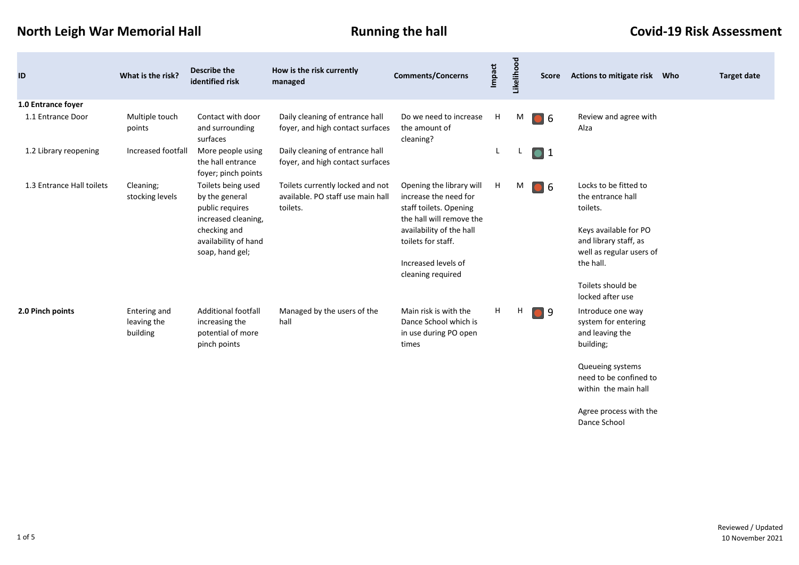**North Leigh War Memorial Hall Running the hall Covid-19 Risk Assessment** 

 $\mathcal{L}^{\text{max}}$ 

| ID                        | What is the risk?                       | <b>Describe the</b><br>identified risk                                         | How is the risk currently<br>managed                                              | <b>Comments/Concerns</b>                                                                                | <b>Impact</b> | Likelihood | Score            | <b>Actions to mitigate risk</b><br>Who                                     | <b>Target date</b> |
|---------------------------|-----------------------------------------|--------------------------------------------------------------------------------|-----------------------------------------------------------------------------------|---------------------------------------------------------------------------------------------------------|---------------|------------|------------------|----------------------------------------------------------------------------|--------------------|
| 1.0 Entrance foyer        |                                         |                                                                                |                                                                                   |                                                                                                         |               |            |                  |                                                                            |                    |
| 1.1 Entrance Door         | Multiple touch<br>points                | Contact with door<br>and surrounding<br>surfaces                               | Daily cleaning of entrance hall<br>foyer, and high contact surfaces               | Do we need to increase<br>the amount of<br>cleaning?                                                    | H             | M          | $\bullet$ 6      | Review and agree with<br>Alza                                              |                    |
| 1.2 Library reopening     | Increased footfall                      | More people using<br>the hall entrance<br>foyer; pinch points                  | Daily cleaning of entrance hall<br>foyer, and high contact surfaces               |                                                                                                         | L             | L.         | $\bullet$ 1      |                                                                            |                    |
| 1.3 Entrance Hall toilets | Cleaning;<br>stocking levels            | Toilets being used<br>by the general<br>public requires<br>increased cleaning, | Toilets currently locked and not<br>available. PO staff use main hall<br>toilets. | Opening the library will<br>increase the need for<br>staff toilets. Opening<br>the hall will remove the | H             | M          | $\blacksquare$ 6 | Locks to be fitted to<br>the entrance hall<br>toilets.                     |                    |
|                           |                                         | checking and<br>availability of hand<br>soap, hand gel;                        |                                                                                   | availability of the hall<br>toilets for staff.                                                          |               |            |                  | Keys available for PO<br>and library staff, as<br>well as regular users of |                    |
|                           |                                         |                                                                                |                                                                                   | Increased levels of<br>cleaning required                                                                |               |            |                  | the hall.                                                                  |                    |
|                           |                                         |                                                                                |                                                                                   |                                                                                                         |               |            |                  | Toilets should be<br>locked after use                                      |                    |
| 2.0 Pinch points          | Entering and<br>leaving the<br>building | Additional footfall<br>increasing the<br>potential of more<br>pinch points     | Managed by the users of the<br>hall                                               | Main risk is with the<br>Dance School which is<br>in use during PO open<br>times                        | H             | H          | و ا              | Introduce one way<br>system for entering<br>and leaving the<br>building;   |                    |
|                           |                                         |                                                                                |                                                                                   |                                                                                                         |               |            |                  | Queueing systems<br>need to be confined to<br>within the main hall         |                    |
|                           |                                         |                                                                                |                                                                                   |                                                                                                         |               |            |                  | Agree process with the<br>Dance School                                     |                    |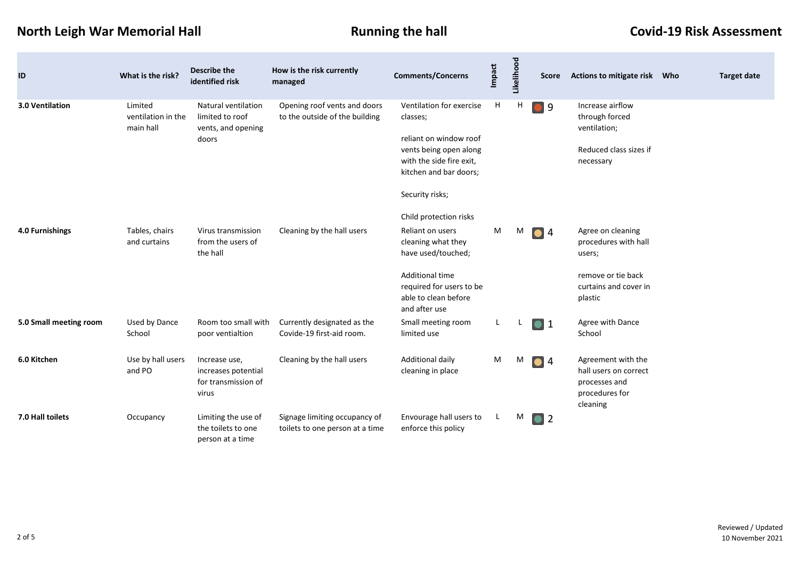# **North Leigh War Memorial Hall Running the hall Covid-19 Risk Assessment**

| ID                     | What is the risk?                          | <b>Describe the</b><br>identified risk                                | How is the risk currently<br>managed                             | <b>Comments/Concerns</b>                                                                                                                                                       | Impact | Likelihood | <b>Score</b>     | <b>Actions to mitigate risk</b>                                                                               | Who | <b>Target date</b> |
|------------------------|--------------------------------------------|-----------------------------------------------------------------------|------------------------------------------------------------------|--------------------------------------------------------------------------------------------------------------------------------------------------------------------------------|--------|------------|------------------|---------------------------------------------------------------------------------------------------------------|-----|--------------------|
| 3.0 Ventilation        | Limited<br>ventilation in the<br>main hall | Natural ventilation<br>limited to roof<br>vents, and opening<br>doors | Opening roof vents and doors<br>to the outside of the building   | Ventilation for exercise<br>classes;<br>reliant on window roof<br>vents being open along<br>with the side fire exit,<br>kitchen and bar doors;<br>Security risks;              | H      | н          | $\bullet$ 9      | Increase airflow<br>through forced<br>ventilation;<br>Reduced class sizes if<br>necessary                     |     |                    |
| 4.0 Furnishings        | Tables, chairs<br>and curtains             | Virus transmission<br>from the users of<br>the hall                   | Cleaning by the hall users                                       | Child protection risks<br>Reliant on users<br>cleaning what they<br>have used/touched;<br>Additional time<br>required for users to be<br>able to clean before<br>and after use | M      | M          | $\bullet$ 4      | Agree on cleaning<br>procedures with hall<br>users;<br>remove or tie back<br>curtains and cover in<br>plastic |     |                    |
| 5.0 Small meeting room | Used by Dance<br>School                    | Room too small with<br>poor ventialtion                               | Currently designated as the<br>Covide-19 first-aid room.         | Small meeting room<br>limited use                                                                                                                                              | L.     |            | $\bullet$ 1      | Agree with Dance<br>School                                                                                    |     |                    |
| 6.0 Kitchen            | Use by hall users<br>and PO                | Increase use,<br>increases potential<br>for transmission of<br>virus  | Cleaning by the hall users                                       | Additional daily<br>cleaning in place                                                                                                                                          | M      | M          | 04               | Agreement with the<br>hall users on correct<br>processes and<br>procedures for<br>cleaning                    |     |                    |
| 7.0 Hall toilets       | Occupancy                                  | Limiting the use of<br>the toilets to one<br>person at a time         | Signage limiting occupancy of<br>toilets to one person at a time | Envourage hall users to<br>enforce this policy                                                                                                                                 | L.     | M          | $\blacksquare$ 2 |                                                                                                               |     |                    |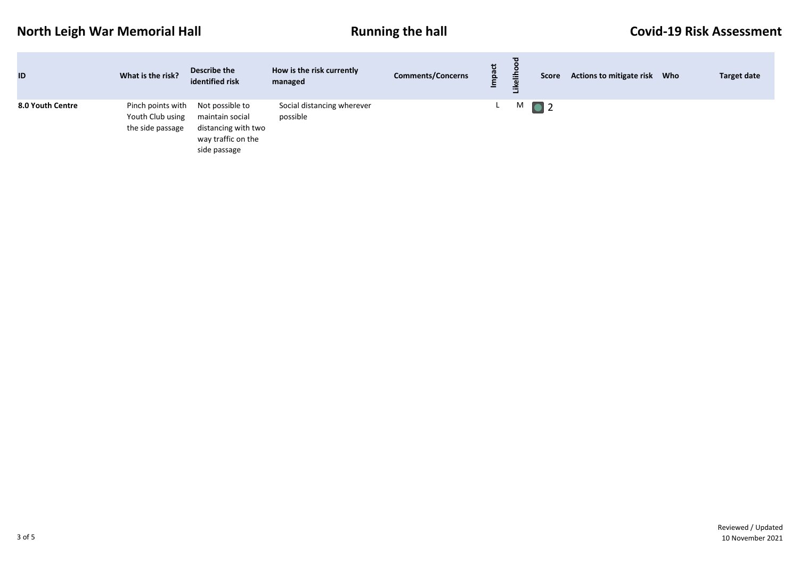## **North Leigh War Memorial Hall Running the hall Covid-19 Risk Assessment**

| ID               | What is the risk?                                         | Describe the<br>identified risk                                                                 | How is the risk currently<br>managed   | <b>Comments/Concerns</b> | ぜ<br>o. | kelih<br>$\sim$ | <b>Score</b> | <b>Actions to mitigate risk</b> | Who | <b>Target date</b> |
|------------------|-----------------------------------------------------------|-------------------------------------------------------------------------------------------------|----------------------------------------|--------------------------|---------|-----------------|--------------|---------------------------------|-----|--------------------|
| 8.0 Youth Centre | Pinch points with<br>Youth Club using<br>the side passage | Not possible to<br>maintain social<br>distancing with two<br>way traffic on the<br>side passage | Social distancing wherever<br>possible |                          |         |                 | M 0 2        |                                 |     |                    |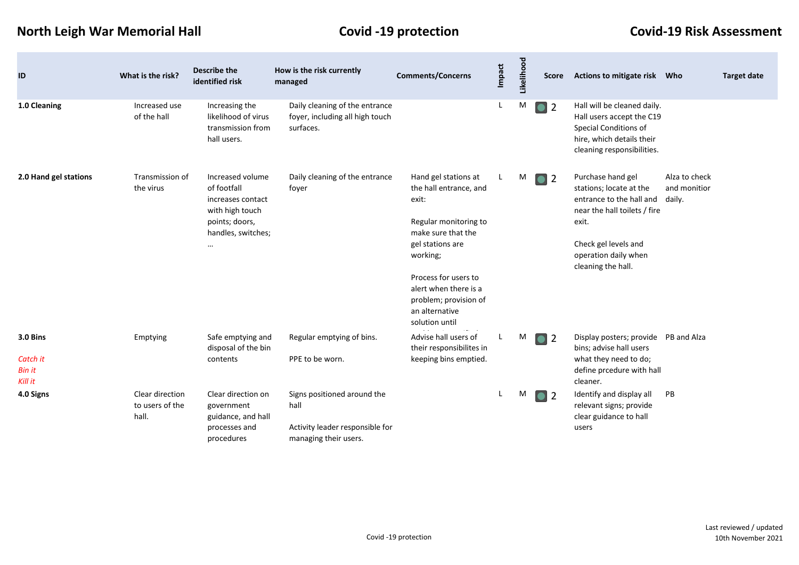## **North Leigh War Memorial Hall Covid -19 protection Covid-19 Risk Assessment**

**College** 

| ID                                               | What is the risk?                           | <b>Describe the</b><br>identified risk                                                                                      | How is the risk currently<br>managed                                                            | <b>Comments/Concerns</b>                                                                                                                                                                                                                             | Impact | Likelihood | <b>Score</b>                | Actions to mitigate risk Who                                                                                                                                                            |                                         | <b>Target date</b> |
|--------------------------------------------------|---------------------------------------------|-----------------------------------------------------------------------------------------------------------------------------|-------------------------------------------------------------------------------------------------|------------------------------------------------------------------------------------------------------------------------------------------------------------------------------------------------------------------------------------------------------|--------|------------|-----------------------------|-----------------------------------------------------------------------------------------------------------------------------------------------------------------------------------------|-----------------------------------------|--------------------|
| 1.0 Cleaning                                     | Increased use<br>of the hall                | Increasing the<br>likelihood of virus<br>transmission from<br>hall users.                                                   | Daily cleaning of the entrance<br>foyer, including all high touch<br>surfaces.                  |                                                                                                                                                                                                                                                      | L      | M          | $\bullet$ 2                 | Hall will be cleaned daily.<br>Hall users accept the C19<br>Special Conditions of<br>hire, which details their<br>cleaning responsibilities.                                            |                                         |                    |
| 2.0 Hand gel stations                            | Transmission of<br>the virus                | Increased volume<br>of footfall<br>increases contact<br>with high touch<br>points; doors,<br>handles, switches;<br>$\cdots$ | Daily cleaning of the entrance<br>foyer                                                         | Hand gel stations at<br>the hall entrance, and<br>exit:<br>Regular monitoring to<br>make sure that the<br>gel stations are<br>working;<br>Process for users to<br>alert when there is a<br>problem; provision of<br>an alternative<br>solution until |        | M          | $\overline{2}$<br>$\bullet$ | Purchase hand gel<br>stations; locate at the<br>entrance to the hall and<br>near the hall toilets / fire<br>exit.<br>Check gel levels and<br>operation daily when<br>cleaning the hall. | Alza to check<br>and monitior<br>daily. |                    |
| 3.0 Bins<br>Catch it<br><b>Bin it</b><br>Kill it | Emptying                                    | Safe emptying and<br>disposal of the bin<br>contents                                                                        | Regular emptying of bins.<br>PPE to be worn.                                                    | Advise hall users of<br>their responsibilites in<br>keeping bins emptied.                                                                                                                                                                            | L      | M          | $\overline{2}$<br>$\bullet$ | Display posters; provide PB and Alza<br>bins; advise hall users<br>what they need to do;<br>define prcedure with hall<br>cleaner.                                                       |                                         |                    |
| 4.0 Signs                                        | Clear direction<br>to users of the<br>hall. | Clear direction on<br>government<br>guidance, and hall<br>processes and<br>procedures                                       | Signs positioned around the<br>hall<br>Activity leader responsible for<br>managing their users. |                                                                                                                                                                                                                                                      |        | M          | $\overline{2}$<br>$\bullet$ | Identify and display all<br>relevant signs; provide<br>clear guidance to hall<br>users                                                                                                  | PB                                      |                    |